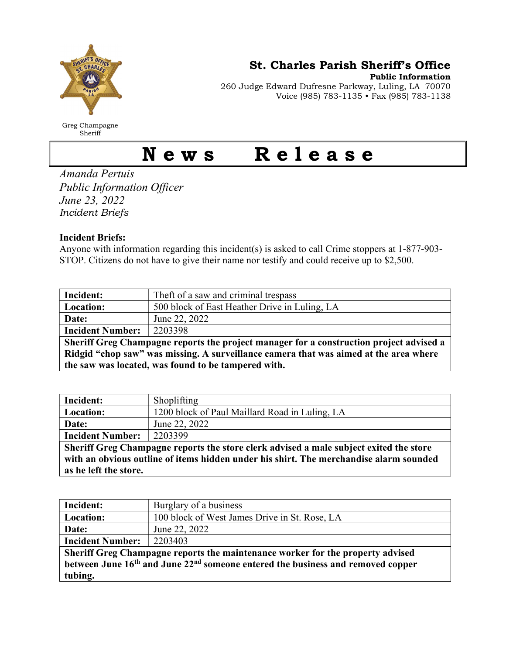

Greg Champagne Sheriff

St. Charles Parish Sheriff's Office

Public Information 260 Judge Edward Dufresne Parkway, Luling, LA 70070 Voice (985) 783-1135 • Fax (985) 783-1138

## News Release

Amanda Pertuis Public Information Officer June 23, 2022 Incident Briefs

## Incident Briefs:

Anyone with information regarding this incident(s) is asked to call Crime stoppers at 1-877-903- STOP. Citizens do not have to give their name nor testify and could receive up to \$2,500.

| Incident:                                                                               | Theft of a saw and criminal trespass          |  |
|-----------------------------------------------------------------------------------------|-----------------------------------------------|--|
| Location:                                                                               | 500 block of East Heather Drive in Luling, LA |  |
| Date:                                                                                   | June 22, 2022                                 |  |
| <b>Incident Number:</b>                                                                 | 2203398                                       |  |
| Sheriff Greg Champagne reports the project manager for a construction project advised a |                                               |  |
| Ridgid "chop saw" was missing. A surveillance camera that was aimed at the area where   |                                               |  |
| the saw was located, was found to be tampered with.                                     |                                               |  |

| Incident:                                                                              | Shoplifting                                    |  |
|----------------------------------------------------------------------------------------|------------------------------------------------|--|
| Location:                                                                              | 1200 block of Paul Maillard Road in Luling, LA |  |
| Date:                                                                                  | June 22, 2022                                  |  |
| <b>Incident Number:</b>                                                                | 2203399                                        |  |
| Sheriff Greg Champagne reports the store clerk advised a male subject exited the store |                                                |  |
| with an obvious outline of items hidden under his shirt. The merchandise alarm sounded |                                                |  |
| as he left the store.                                                                  |                                                |  |

| Incident:                                                                                               | Burglary of a business                        |  |
|---------------------------------------------------------------------------------------------------------|-----------------------------------------------|--|
| Location:                                                                                               | 100 block of West James Drive in St. Rose, LA |  |
| Date:                                                                                                   | June 22, 2022                                 |  |
| <b>Incident Number:</b>                                                                                 | 2203403                                       |  |
| Sheriff Greg Champagne reports the maintenance worker for the property advised                          |                                               |  |
| between June 16 <sup>th</sup> and June 22 <sup>nd</sup> someone entered the business and removed copper |                                               |  |
| tubing.                                                                                                 |                                               |  |